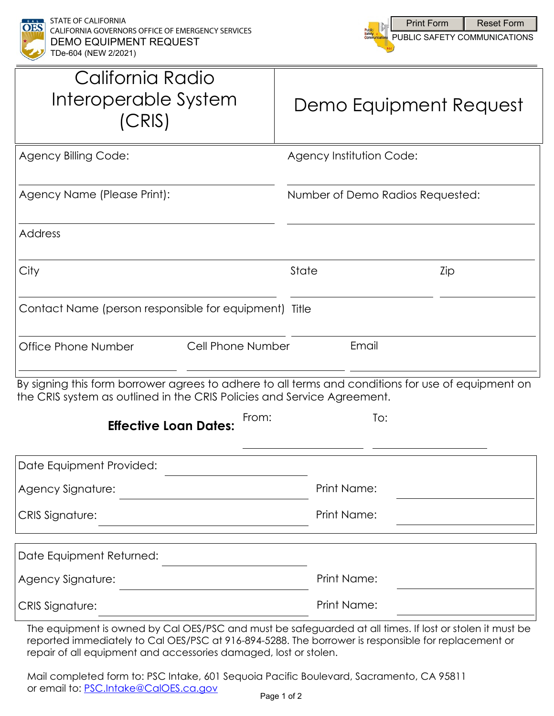



| California Radio<br>Interoperable System<br>(CRIS)                      | Demo Equipment Request                                                                             |  |  |
|-------------------------------------------------------------------------|----------------------------------------------------------------------------------------------------|--|--|
| <b>Agency Billing Code:</b>                                             | Agency Institution Code:                                                                           |  |  |
| Agency Name (Please Print):                                             | Number of Demo Radios Requested:                                                                   |  |  |
| <b>Address</b>                                                          |                                                                                                    |  |  |
| City                                                                    | State<br>Zip                                                                                       |  |  |
| Contact Name (person responsible for equipment) Title                   |                                                                                                    |  |  |
| Cell Phone Number<br>Office Phone Number                                | Email                                                                                              |  |  |
| the CRIS system as outlined in the CRIS Policies and Service Agreement. | By signing this form borrower agrees to adhere to all terms and conditions for use of equipment on |  |  |
| From:<br><b>Effective Loan Dates:</b>                                   | To:                                                                                                |  |  |
| Date Equipment Provided:                                                |                                                                                                    |  |  |
| Agency Signature:                                                       | Print Name:                                                                                        |  |  |
| <b>CRIS Signature:</b>                                                  | Print Name:                                                                                        |  |  |
| Date Equipment Returned:                                                |                                                                                                    |  |  |
| Agency Signature:                                                       | Print Name:                                                                                        |  |  |
| <b>CRIS Signature:</b>                                                  | Print Name:                                                                                        |  |  |

The equipment is owned by Cal OES/PSC and must be safeguarded at all times. If lost or stolen it must be reported immediately to Cal OES/PSC at 916-894-5288. The borrower is responsible for replacement or repair of all equipment and accessories damaged, lost or stolen.

Mail completed form to: PSC Intake, 601 Sequoia Pacific Boulevard, Sacramento, CA 95811 or email to: [PSC.Intake@CalOES.ca.gov](mailto:PSC.Intake@CalOES.ca.gov?subject=TDe-604%20Demo%20Equipment%20Request)